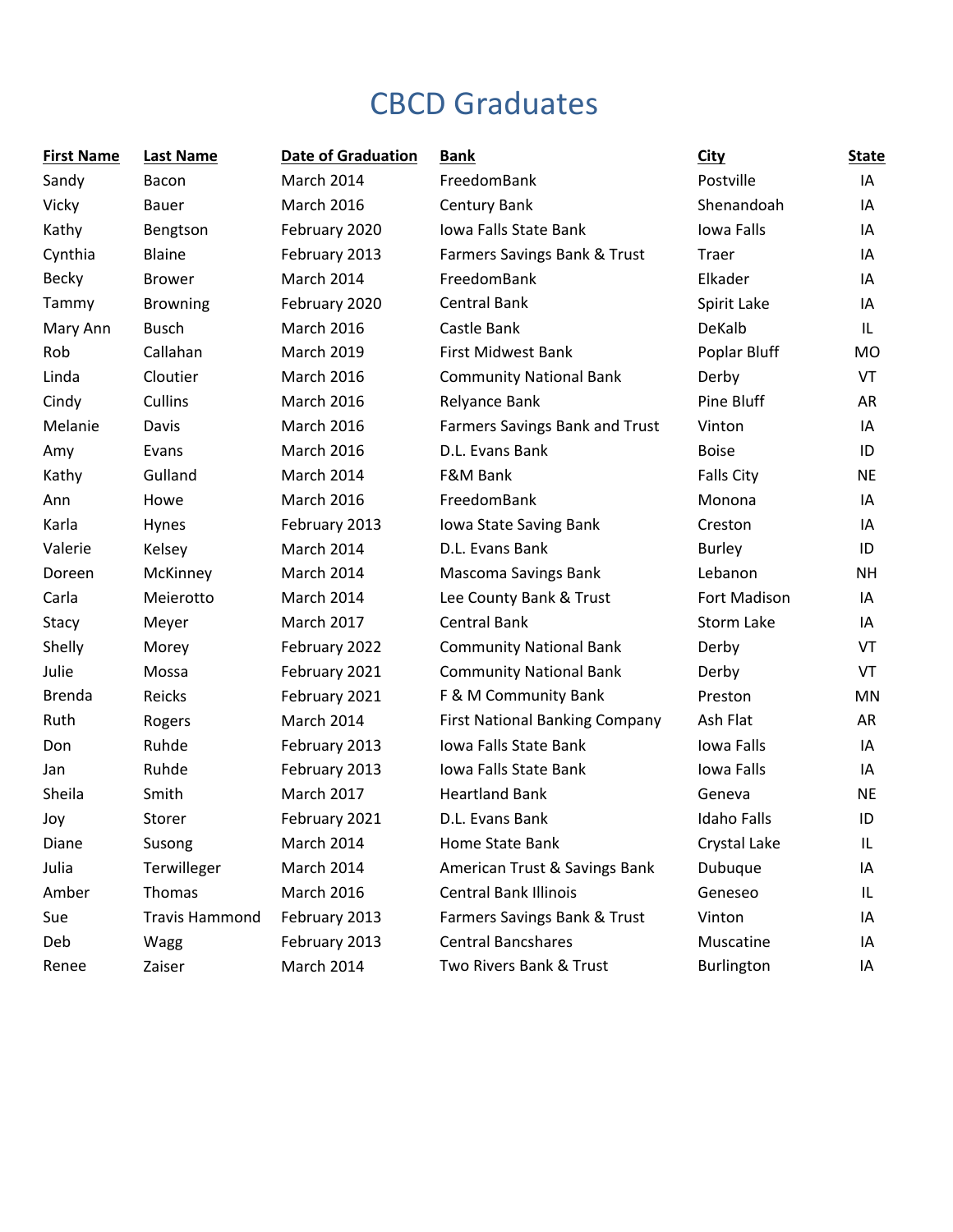## CBCD Graduates

| <b>First Name</b> | <b>Last Name</b>      | <b>Date of Graduation</b> | <b>Bank</b>                           | <b>City</b>        | <b>State</b> |
|-------------------|-----------------------|---------------------------|---------------------------------------|--------------------|--------------|
| Sandy             | Bacon                 | March 2014                | FreedomBank                           | Postville          | IA           |
| Vicky             | <b>Bauer</b>          | <b>March 2016</b>         | Century Bank                          | Shenandoah         | ΙA           |
| Kathy             | Bengtson              | February 2020             | Iowa Falls State Bank                 | Iowa Falls         | IA           |
| Cynthia           | <b>Blaine</b>         | February 2013             | Farmers Savings Bank & Trust          | Traer              | ΙA           |
| Becky             | <b>Brower</b>         | March 2014                | FreedomBank                           | Elkader            | IA           |
| Tammy             | <b>Browning</b>       | February 2020             | <b>Central Bank</b>                   | Spirit Lake        | IA           |
| Mary Ann          | <b>Busch</b>          | <b>March 2016</b>         | Castle Bank                           | DeKalb             | IL           |
| Rob               | Callahan              | <b>March 2019</b>         | <b>First Midwest Bank</b>             | Poplar Bluff       | MO           |
| Linda             | Cloutier              | <b>March 2016</b>         | <b>Community National Bank</b>        | Derby              | VT           |
| Cindy             | Cullins               | <b>March 2016</b>         | Relyance Bank                         | Pine Bluff         | AR           |
| Melanie           | Davis                 | <b>March 2016</b>         | <b>Farmers Savings Bank and Trust</b> | Vinton             | IA           |
| Amy               | Evans                 | <b>March 2016</b>         | D.L. Evans Bank                       | <b>Boise</b>       | ID           |
| Kathy             | Gulland               | March 2014                | F&M Bank                              | <b>Falls City</b>  | <b>NE</b>    |
| Ann               | Howe                  | <b>March 2016</b>         | FreedomBank                           | Monona             | IA           |
| Karla             | Hynes                 | February 2013             | Iowa State Saving Bank                | Creston            | ΙA           |
| Valerie           | Kelsey                | March 2014                | D.L. Evans Bank                       | <b>Burley</b>      | ID           |
| Doreen            | McKinney              | March 2014                | Mascoma Savings Bank                  | Lebanon            | <b>NH</b>    |
| Carla             | Meierotto             | March 2014                | Lee County Bank & Trust               | Fort Madison       | ΙA           |
| Stacy             | Meyer                 | <b>March 2017</b>         | <b>Central Bank</b>                   | Storm Lake         | IA           |
| Shelly            | Morey                 | February 2022             | <b>Community National Bank</b>        | Derby              | VT           |
| Julie             | Mossa                 | February 2021             | <b>Community National Bank</b>        | Derby              | VT           |
| <b>Brenda</b>     | Reicks                | February 2021             | F & M Community Bank                  | Preston            | <b>MN</b>    |
| Ruth              | Rogers                | March 2014                | <b>First National Banking Company</b> | Ash Flat           | AR           |
| Don               | Ruhde                 | February 2013             | Iowa Falls State Bank                 | Iowa Falls         | IA           |
| Jan               | Ruhde                 | February 2013             | Iowa Falls State Bank                 | Iowa Falls         | IA           |
| Sheila            | Smith                 | <b>March 2017</b>         | <b>Heartland Bank</b>                 | Geneva             | <b>NE</b>    |
| Joy               | Storer                | February 2021             | D.L. Evans Bank                       | <b>Idaho Falls</b> | ID           |
| Diane             | Susong                | March 2014                | Home State Bank                       | Crystal Lake       | IL           |
| Julia             | Terwilleger           | March 2014                | American Trust & Savings Bank         | Dubuque            | ΙA           |
| Amber             | Thomas                | <b>March 2016</b>         | <b>Central Bank Illinois</b>          | Geneseo            | IL           |
| Sue               | <b>Travis Hammond</b> | February 2013             | Farmers Savings Bank & Trust          | Vinton             | ΙA           |
| Deb               | Wagg                  | February 2013             | <b>Central Bancshares</b>             | Muscatine          | IA           |
| Renee             | Zaiser                | March 2014                | Two Rivers Bank & Trust               | Burlington         | ΙA           |